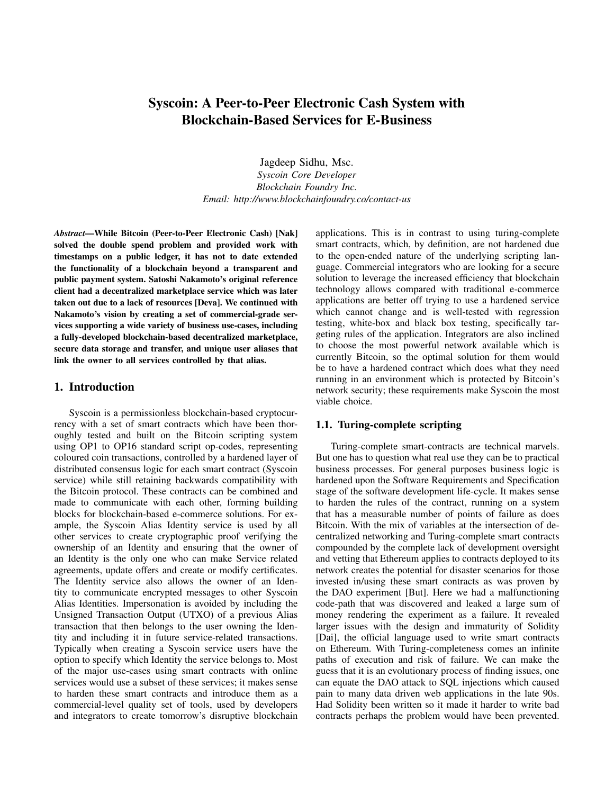# Syscoin: A Peer-to-Peer Electronic Cash System with Blockchain-Based Services for E-Business

Jagdeep Sidhu, Msc.

*Syscoin Core Developer Blockchain Foundry Inc. Email: http://www.blockchainfoundry.co/contact-us*

*Abstract*—While Bitcoin (Peer-to-Peer Electronic Cash) [Nak] solved the double spend problem and provided work with timestamps on a public ledger, it has not to date extended the functionality of a blockchain beyond a transparent and public payment system. Satoshi Nakamoto's original reference client had a decentralized marketplace service which was later taken out due to a lack of resources [Deva]. We continued with Nakamoto's vision by creating a set of commercial-grade services supporting a wide variety of business use-cases, including a fully-developed blockchain-based decentralized marketplace, secure data storage and transfer, and unique user aliases that link the owner to all services controlled by that alias.

### 1. Introduction

Syscoin is a permissionless blockchain-based cryptocurrency with a set of smart contracts which have been thoroughly tested and built on the Bitcoin scripting system using OP1 to OP16 standard script op-codes, representing coloured coin transactions, controlled by a hardened layer of distributed consensus logic for each smart contract (Syscoin service) while still retaining backwards compatibility with the Bitcoin protocol. These contracts can be combined and made to communicate with each other, forming building blocks for blockchain-based e-commerce solutions. For example, the Syscoin Alias Identity service is used by all other services to create cryptographic proof verifying the ownership of an Identity and ensuring that the owner of an Identity is the only one who can make Service related agreements, update offers and create or modify certificates. The Identity service also allows the owner of an Identity to communicate encrypted messages to other Syscoin Alias Identities. Impersonation is avoided by including the Unsigned Transaction Output (UTXO) of a previous Alias transaction that then belongs to the user owning the Identity and including it in future service-related transactions. Typically when creating a Syscoin service users have the option to specify which Identity the service belongs to. Most of the major use-cases using smart contracts with online services would use a subset of these services; it makes sense to harden these smart contracts and introduce them as a commercial-level quality set of tools, used by developers and integrators to create tomorrow's disruptive blockchain applications. This is in contrast to using turing-complete smart contracts, which, by definition, are not hardened due to the open-ended nature of the underlying scripting language. Commercial integrators who are looking for a secure solution to leverage the increased efficiency that blockchain technology allows compared with traditional e-commerce applications are better off trying to use a hardened service which cannot change and is well-tested with regression testing, white-box and black box testing, specifically targeting rules of the application. Integrators are also inclined to choose the most powerful network available which is currently Bitcoin, so the optimal solution for them would be to have a hardened contract which does what they need running in an environment which is protected by Bitcoin's network security; these requirements make Syscoin the most viable choice.

#### 1.1. Turing-complete scripting

Turing-complete smart-contracts are technical marvels. But one has to question what real use they can be to practical business processes. For general purposes business logic is hardened upon the Software Requirements and Specification stage of the software development life-cycle. It makes sense to harden the rules of the contract, running on a system that has a measurable number of points of failure as does Bitcoin. With the mix of variables at the intersection of decentralized networking and Turing-complete smart contracts compounded by the complete lack of development oversight and vetting that Ethereum applies to contracts deployed to its network creates the potential for disaster scenarios for those invested in/using these smart contracts as was proven by the DAO experiment [But]. Here we had a malfunctioning code-path that was discovered and leaked a large sum of money rendering the experiment as a failure. It revealed larger issues with the design and immaturity of Solidity [Dai], the official language used to write smart contracts on Ethereum. With Turing-completeness comes an infinite paths of execution and risk of failure. We can make the guess that it is an evolutionary process of finding issues, one can equate the DAO attack to SQL injections which caused pain to many data driven web applications in the late 90s. Had Solidity been written so it made it harder to write bad contracts perhaps the problem would have been prevented.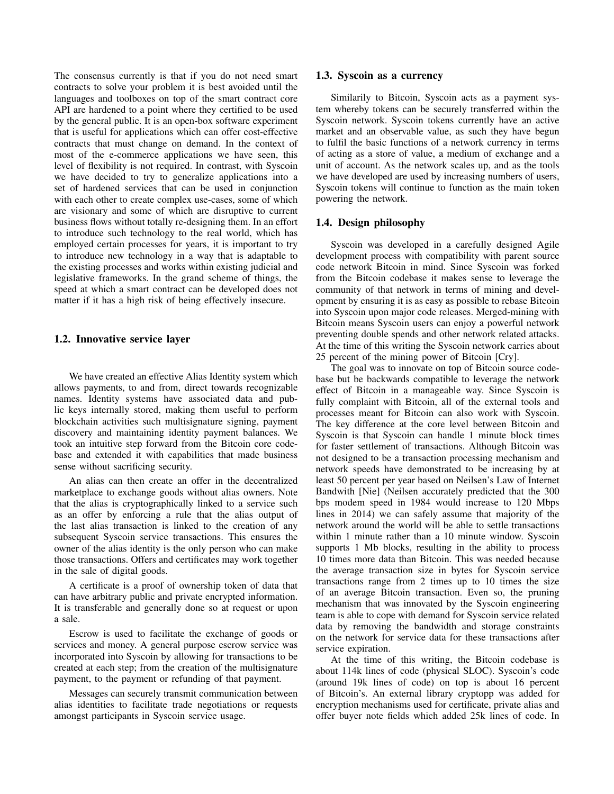The consensus currently is that if you do not need smart contracts to solve your problem it is best avoided until the languages and toolboxes on top of the smart contract core API are hardened to a point where they certified to be used by the general public. It is an open-box software experiment that is useful for applications which can offer cost-effective contracts that must change on demand. In the context of most of the e-commerce applications we have seen, this level of flexibility is not required. In contrast, with Syscoin we have decided to try to generalize applications into a set of hardened services that can be used in conjunction with each other to create complex use-cases, some of which are visionary and some of which are disruptive to current business flows without totally re-designing them. In an effort to introduce such technology to the real world, which has employed certain processes for years, it is important to try to introduce new technology in a way that is adaptable to the existing processes and works within existing judicial and legislative frameworks. In the grand scheme of things, the speed at which a smart contract can be developed does not matter if it has a high risk of being effectively insecure.

#### 1.2. Innovative service layer

We have created an effective Alias Identity system which allows payments, to and from, direct towards recognizable names. Identity systems have associated data and public keys internally stored, making them useful to perform blockchain activities such multisignature signing, payment discovery and maintaining identity payment balances. We took an intuitive step forward from the Bitcoin core codebase and extended it with capabilities that made business sense without sacrificing security.

An alias can then create an offer in the decentralized marketplace to exchange goods without alias owners. Note that the alias is cryptographically linked to a service such as an offer by enforcing a rule that the alias output of the last alias transaction is linked to the creation of any subsequent Syscoin service transactions. This ensures the owner of the alias identity is the only person who can make those transactions. Offers and certificates may work together in the sale of digital goods.

A certificate is a proof of ownership token of data that can have arbitrary public and private encrypted information. It is transferable and generally done so at request or upon a sale.

Escrow is used to facilitate the exchange of goods or services and money. A general purpose escrow service was incorporated into Syscoin by allowing for transactions to be created at each step; from the creation of the multisignature payment, to the payment or refunding of that payment.

Messages can securely transmit communication between alias identities to facilitate trade negotiations or requests amongst participants in Syscoin service usage.

#### 1.3. Syscoin as a currency

Similarily to Bitcoin, Syscoin acts as a payment system whereby tokens can be securely transferred within the Syscoin network. Syscoin tokens currently have an active market and an observable value, as such they have begun to fulfil the basic functions of a network currency in terms of acting as a store of value, a medium of exchange and a unit of account. As the network scales up, and as the tools we have developed are used by increasing numbers of users, Syscoin tokens will continue to function as the main token powering the network.

#### 1.4. Design philosophy

Syscoin was developed in a carefully designed Agile development process with compatibility with parent source code network Bitcoin in mind. Since Syscoin was forked from the Bitcoin codebase it makes sense to leverage the community of that network in terms of mining and development by ensuring it is as easy as possible to rebase Bitcoin into Syscoin upon major code releases. Merged-mining with Bitcoin means Syscoin users can enjoy a powerful network preventing double spends and other network related attacks. At the time of this writing the Syscoin network carries about 25 percent of the mining power of Bitcoin [Cry].

The goal was to innovate on top of Bitcoin source codebase but be backwards compatible to leverage the network effect of Bitcoin in a manageable way. Since Syscoin is fully complaint with Bitcoin, all of the external tools and processes meant for Bitcoin can also work with Syscoin. The key difference at the core level between Bitcoin and Syscoin is that Syscoin can handle 1 minute block times for faster settlement of transactions. Although Bitcoin was not designed to be a transaction processing mechanism and network speeds have demonstrated to be increasing by at least 50 percent per year based on Neilsen's Law of Internet Bandwith [Nie] (Neilsen accurately predicted that the 300 bps modem speed in 1984 would increase to 120 Mbps lines in 2014) we can safely assume that majority of the network around the world will be able to settle transactions within 1 minute rather than a 10 minute window. Syscoin supports 1 Mb blocks, resulting in the ability to process 10 times more data than Bitcoin. This was needed because the average transaction size in bytes for Syscoin service transactions range from 2 times up to 10 times the size of an average Bitcoin transaction. Even so, the pruning mechanism that was innovated by the Syscoin engineering team is able to cope with demand for Syscoin service related data by removing the bandwidth and storage constraints on the network for service data for these transactions after service expiration.

At the time of this writing, the Bitcoin codebase is about 114k lines of code (physical SLOC). Syscoin's code (around 19k lines of code) on top is about 16 percent of Bitcoin's. An external library cryptopp was added for encryption mechanisms used for certificate, private alias and offer buyer note fields which added 25k lines of code. In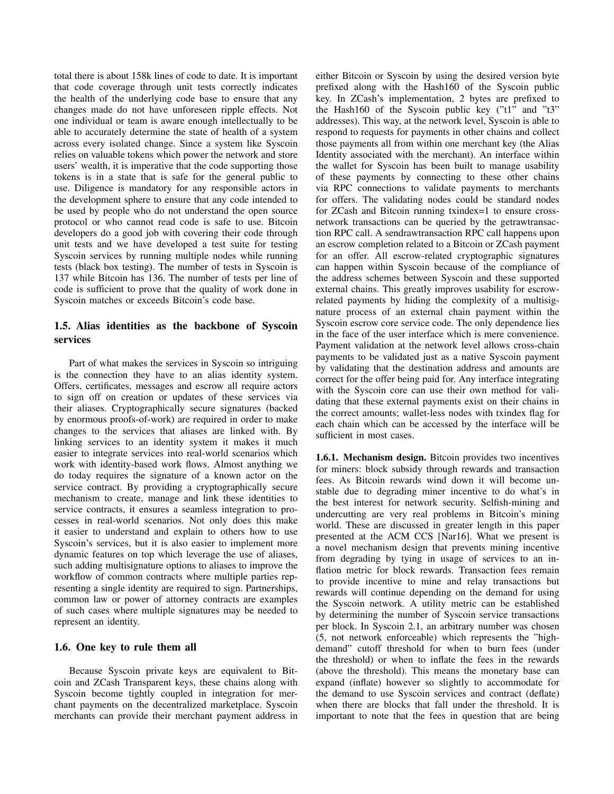total there is about 158k lines of code to date. It is important that code coverage through unit tests correctly indicates the health of the underlying code base to ensure that any changes made do not have unforeseen ripple effects. Not one individual or team is aware enough intellectually to be able to accurately determine the state of health of a system across every isolated change. Since a system like Syscoin relies on valuable tokens which power the network and store users' wealth, it is imperative that the code supporting those tokens is in a state that is safe for the general public to use. Diligence is mandatory for any responsible actors in the development sphere to ensure that any code intended to be used by people who do not understand the open source protocol or who cannot read code is safe to use. Bitcoin developers do a good job with covering their code through unit tests and we have developed a test suite for testing Syscoin services by running multiple nodes while running tests (black box testing). The number of tests in Syscoin is 137 while Bitcoin has 136. The number of tests per line of code is sufficient to prove that the quality of work done in Syscoin matches or exceeds Bitcoin's code base.

# 1.5. Alias identities as the backbone of Syscoin services

Part of what makes the services in Syscoin so intriguing is the connection they have to an alias identity system. Offers, certificates, messages and escrow all require actors to sign off on creation or updates of these services via their aliases. Cryptographically secure signatures (backed by enormous proofs-of-work) are required in order to make changes to the services that aliases are linked with. By linking services to an identity system it makes it much easier to integrate services into real-world scenarios which work with identity-based work flows. Almost anything we do today requires the signature of a known actor on the service contract. By providing a cryptographically secure mechanism to create, manage and link these identities to service contracts, it ensures a seamless integration to processes in real-world scenarios. Not only does this make it easier to understand and explain to others how to use Syscoin's services, but it is also easier to implement more dynamic features on top which leverage the use of aliases, such adding multisignature options to aliases to improve the workflow of common contracts where multiple parties representing a single identity are required to sign. Partnerships, common law or power of attorney contracts are examples of such cases where multiple signatures may be needed to represent an identity.

# 1.6. One key to rule them all

Because Syscoin private keys are equivalent to Bitcoin and ZCash Transparent keys, these chains along with Syscoin become tightly coupled in integration for merchant payments on the decentralized marketplace. Syscoin merchants can provide their merchant payment address in either Bitcoin or Syscoin by using the desired version byte prefixed along with the Hash160 of the Syscoin public key. In ZCash's implementation, 2 bytes are prefixed to the Hash160 of the Syscoin public key ("t1" and "t3" addresses). This way, at the network level, Syscoin is able to respond to requests for payments in other chains and collect those payments all from within one merchant key (the Alias Identity associated with the merchant). An interface within the wallet for Syscoin has been built to manage usability of these payments by connecting to these other chains via RPC connections to validate payments to merchants for offers. The validating nodes could be standard nodes for ZCash and Bitcoin running txindex=1 to ensure crossnetwork transactions can be queried by the getrawtransaction RPC call. A sendrawtransaction RPC call happens upon an escrow completion related to a Bitcoin or ZCash payment for an offer. All escrow-related cryptographic signatures can happen within Syscoin because of the compliance of the address schemes between Syscoin and these supported external chains. This greatly improves usability for escrowrelated payments by hiding the complexity of a multisignature process of an external chain payment within the Syscoin escrow core service code. The only dependence lies in the face of the user interface which is mere convenience. Payment validation at the network level allows cross-chain payments to be validated just as a native Syscoin payment by validating that the destination address and amounts are correct for the offer being paid for. Any interface integrating with the Syscoin core can use their own method for validating that these external payments exist on their chains in the correct amounts; wallet-less nodes with txindex flag for each chain which can be accessed by the interface will be sufficient in most cases.

1.6.1. Mechanism design. Bitcoin provides two incentives for miners: block subsidy through rewards and transaction fees. As Bitcoin rewards wind down it will become unstable due to degrading miner incentive to do what's in the best interest for network security. Selfish-mining and undercutting are very real problems in Bitcoin's mining world. These are discussed in greater length in this paper presented at the ACM CCS [Nar16]. What we present is a novel mechanism design that prevents mining incentive from degrading by tying in usage of services to an inflation metric for block rewards. Transaction fees remain to provide incentive to mine and relay transactions but rewards will continue depending on the demand for using the Syscoin network. A utility metric can be established by determining the number of Syscoin service transactions per block. In Syscoin 2.1, an arbitrary number was chosen (5, not network enforceable) which represents the "highdemand" cutoff threshold for when to burn fees (under the threshold) or when to inflate the fees in the rewards (above the threshold). This means the monetary base can expand (inflate) however so slightly to accommodate for the demand to use Syscoin services and contract (deflate) when there are blocks that fall under the threshold. It is important to note that the fees in question that are being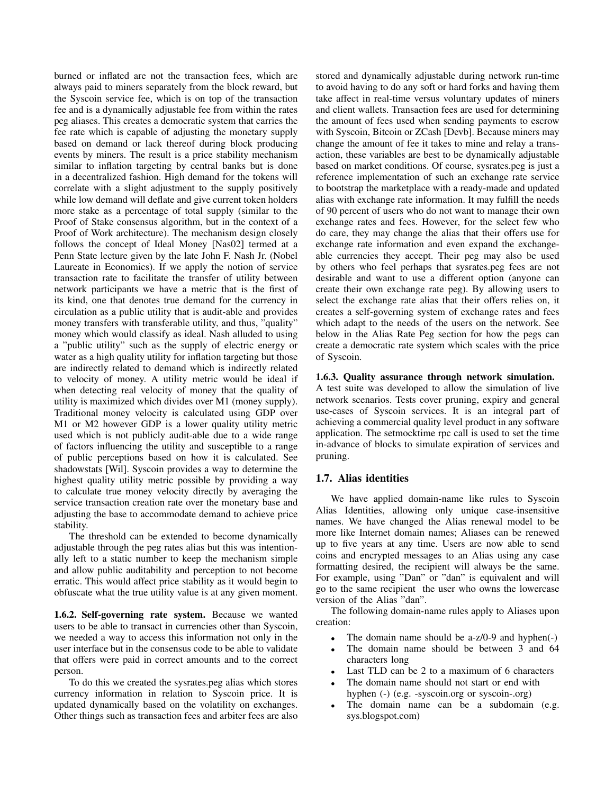burned or inflated are not the transaction fees, which are always paid to miners separately from the block reward, but the Syscoin service fee, which is on top of the transaction fee and is a dynamically adjustable fee from within the rates peg aliases. This creates a democratic system that carries the fee rate which is capable of adjusting the monetary supply based on demand or lack thereof during block producing events by miners. The result is a price stability mechanism similar to inflation targeting by central banks but is done in a decentralized fashion. High demand for the tokens will correlate with a slight adjustment to the supply positively while low demand will deflate and give current token holders more stake as a percentage of total supply (similar to the Proof of Stake consensus algorithm, but in the context of a Proof of Work architecture). The mechanism design closely follows the concept of Ideal Money [Nas02] termed at a Penn State lecture given by the late John F. Nash Jr. (Nobel Laureate in Economics). If we apply the notion of service transaction rate to facilitate the transfer of utility between network participants we have a metric that is the first of its kind, one that denotes true demand for the currency in circulation as a public utility that is audit-able and provides money transfers with transferable utility, and thus, "quality" money which would classify as ideal. Nash alluded to using a "public utility" such as the supply of electric energy or water as a high quality utility for inflation targeting but those are indirectly related to demand which is indirectly related to velocity of money. A utility metric would be ideal if when detecting real velocity of money that the quality of utility is maximized which divides over M1 (money supply). Traditional money velocity is calculated using GDP over M1 or M2 however GDP is a lower quality utility metric used which is not publicly audit-able due to a wide range of factors influencing the utility and susceptible to a range of public perceptions based on how it is calculated. See shadowstats [Wil]. Syscoin provides a way to determine the highest quality utility metric possible by providing a way to calculate true money velocity directly by averaging the service transaction creation rate over the monetary base and adjusting the base to accommodate demand to achieve price stability.

The threshold can be extended to become dynamically adjustable through the peg rates alias but this was intentionally left to a static number to keep the mechanism simple and allow public auditability and perception to not become erratic. This would affect price stability as it would begin to obfuscate what the true utility value is at any given moment.

1.6.2. Self-governing rate system. Because we wanted users to be able to transact in currencies other than Syscoin, we needed a way to access this information not only in the user interface but in the consensus code to be able to validate that offers were paid in correct amounts and to the correct person.

To do this we created the sysrates.peg alias which stores currency information in relation to Syscoin price. It is updated dynamically based on the volatility on exchanges. Other things such as transaction fees and arbiter fees are also stored and dynamically adjustable during network run-time to avoid having to do any soft or hard forks and having them take affect in real-time versus voluntary updates of miners and client wallets. Transaction fees are used for determining the amount of fees used when sending payments to escrow with Syscoin, Bitcoin or ZCash [Devb]. Because miners may change the amount of fee it takes to mine and relay a transaction, these variables are best to be dynamically adjustable based on market conditions. Of course, sysrates.peg is just a reference implementation of such an exchange rate service to bootstrap the marketplace with a ready-made and updated alias with exchange rate information. It may fulfill the needs of 90 percent of users who do not want to manage their own exchange rates and fees. However, for the select few who do care, they may change the alias that their offers use for exchange rate information and even expand the exchangeable currencies they accept. Their peg may also be used by others who feel perhaps that sysrates.peg fees are not desirable and want to use a different option (anyone can create their own exchange rate peg). By allowing users to select the exchange rate alias that their offers relies on, it creates a self-governing system of exchange rates and fees which adapt to the needs of the users on the network. See below in the Alias Rate Peg section for how the pegs can create a democratic rate system which scales with the price of Syscoin.

#### 1.6.3. Quality assurance through network simulation.

A test suite was developed to allow the simulation of live network scenarios. Tests cover pruning, expiry and general use-cases of Syscoin services. It is an integral part of achieving a commercial quality level product in any software application. The setmocktime rpc call is used to set the time in-advance of blocks to simulate expiration of services and pruning.

#### 1.7. Alias identities

We have applied domain-name like rules to Syscoin Alias Identities, allowing only unique case-insensitive names. We have changed the Alias renewal model to be more like Internet domain names; Aliases can be renewed up to five years at any time. Users are now able to send coins and encrypted messages to an Alias using any case formatting desired, the recipient will always be the same. For example, using "Dan" or "dan" is equivalent and will go to the same recipient the user who owns the lowercase version of the Alias "dan".

The following domain-name rules apply to Aliases upon creation:

- The domain name should be a- $z/0$ -9 and hyphen(-)
- The domain name should be between 3 and 64 characters long
- Last TLD can be 2 to a maximum of 6 characters
- The domain name should not start or end with hyphen (-) (e.g. -syscoin.org or syscoin-.org)
- The domain name can be a subdomain (e.g. sys.blogspot.com)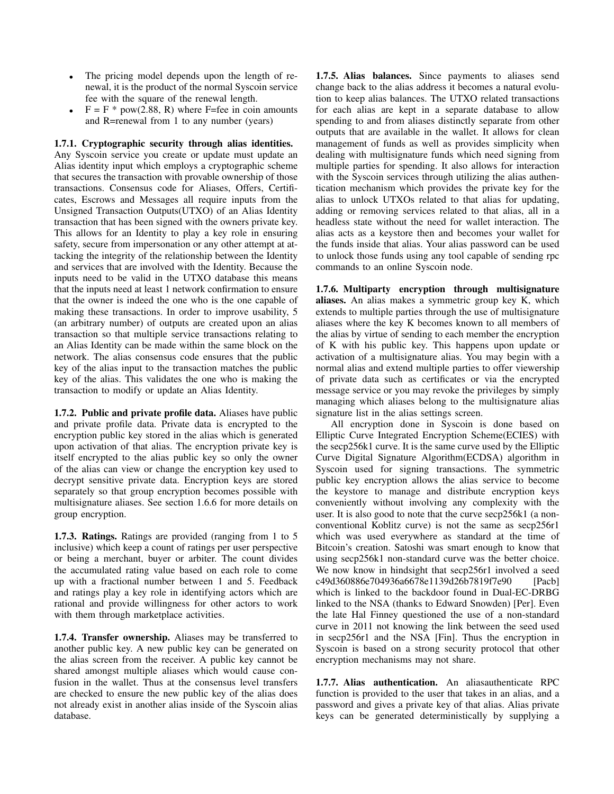- The pricing model depends upon the length of renewal, it is the product of the normal Syscoin service fee with the square of the renewal length.
- $F = F * pow(2.88, R)$  where F=fee in coin amounts and R=renewal from 1 to any number (years)

### 1.7.1. Cryptographic security through alias identities.

Any Syscoin service you create or update must update an Alias identity input which employs a cryptographic scheme that secures the transaction with provable ownership of those transactions. Consensus code for Aliases, Offers, Certificates, Escrows and Messages all require inputs from the Unsigned Transaction Outputs(UTXO) of an Alias Identity transaction that has been signed with the owners private key. This allows for an Identity to play a key role in ensuring safety, secure from impersonation or any other attempt at attacking the integrity of the relationship between the Identity and services that are involved with the Identity. Because the inputs need to be valid in the UTXO database this means that the inputs need at least 1 network confirmation to ensure that the owner is indeed the one who is the one capable of making these transactions. In order to improve usability, 5 (an arbitrary number) of outputs are created upon an alias transaction so that multiple service transactions relating to an Alias Identity can be made within the same block on the network. The alias consensus code ensures that the public key of the alias input to the transaction matches the public key of the alias. This validates the one who is making the transaction to modify or update an Alias Identity.

1.7.2. Public and private profile data. Aliases have public and private profile data. Private data is encrypted to the encryption public key stored in the alias which is generated upon activation of that alias. The encryption private key is itself encrypted to the alias public key so only the owner of the alias can view or change the encryption key used to decrypt sensitive private data. Encryption keys are stored separately so that group encryption becomes possible with multisignature aliases. See section 1.6.6 for more details on group encryption.

1.7.3. Ratings. Ratings are provided (ranging from 1 to 5 inclusive) which keep a count of ratings per user perspective or being a merchant, buyer or arbiter. The count divides the accumulated rating value based on each role to come up with a fractional number between 1 and 5. Feedback and ratings play a key role in identifying actors which are rational and provide willingness for other actors to work with them through marketplace activities.

1.7.4. Transfer ownership. Aliases may be transferred to another public key. A new public key can be generated on the alias screen from the receiver. A public key cannot be shared amongst multiple aliases which would cause confusion in the wallet. Thus at the consensus level transfers are checked to ensure the new public key of the alias does not already exist in another alias inside of the Syscoin alias database.

1.7.5. Alias balances. Since payments to aliases send change back to the alias address it becomes a natural evolution to keep alias balances. The UTXO related transactions for each alias are kept in a separate database to allow spending to and from aliases distinctly separate from other outputs that are available in the wallet. It allows for clean management of funds as well as provides simplicity when dealing with multisignature funds which need signing from multiple parties for spending. It also allows for interaction with the Syscoin services through utilizing the alias authentication mechanism which provides the private key for the alias to unlock UTXOs related to that alias for updating, adding or removing services related to that alias, all in a headless state without the need for wallet interaction. The alias acts as a keystore then and becomes your wallet for the funds inside that alias. Your alias password can be used to unlock those funds using any tool capable of sending rpc commands to an online Syscoin node.

1.7.6. Multiparty encryption through multisignature aliases. An alias makes a symmetric group key K, which extends to multiple parties through the use of multisignature aliases where the key K becomes known to all members of the alias by virtue of sending to each member the encryption of K with his public key. This happens upon update or activation of a multisignature alias. You may begin with a normal alias and extend multiple parties to offer viewership of private data such as certificates or via the encrypted message service or you may revoke the privileges by simply managing which aliases belong to the multisignature alias signature list in the alias settings screen.

All encryption done in Syscoin is done based on Elliptic Curve Integrated Encryption Scheme(ECIES) with the secp256k1 curve. It is the same curve used by the Elliptic Curve Digital Signature Algorithm(ECDSA) algorithm in Syscoin used for signing transactions. The symmetric public key encryption allows the alias service to become the keystore to manage and distribute encryption keys conveniently without involving any complexity with the user. It is also good to note that the curve secp256k1 (a nonconventional Koblitz curve) is not the same as secp256r1 which was used everywhere as standard at the time of Bitcoin's creation. Satoshi was smart enough to know that using secp256k1 non-standard curve was the better choice. We now know in hindsight that secp256r1 involved a seed c49d360886e704936a6678e1139d26b7819f7e90 [Pacb] which is linked to the backdoor found in Dual-EC-DRBG linked to the NSA (thanks to Edward Snowden) [Per]. Even the late Hal Finney questioned the use of a non-standard curve in 2011 not knowing the link between the seed used in secp256r1 and the NSA [Fin]. Thus the encryption in Syscoin is based on a strong security protocol that other encryption mechanisms may not share.

1.7.7. Alias authentication. An aliasauthenticate RPC function is provided to the user that takes in an alias, and a password and gives a private key of that alias. Alias private keys can be generated deterministically by supplying a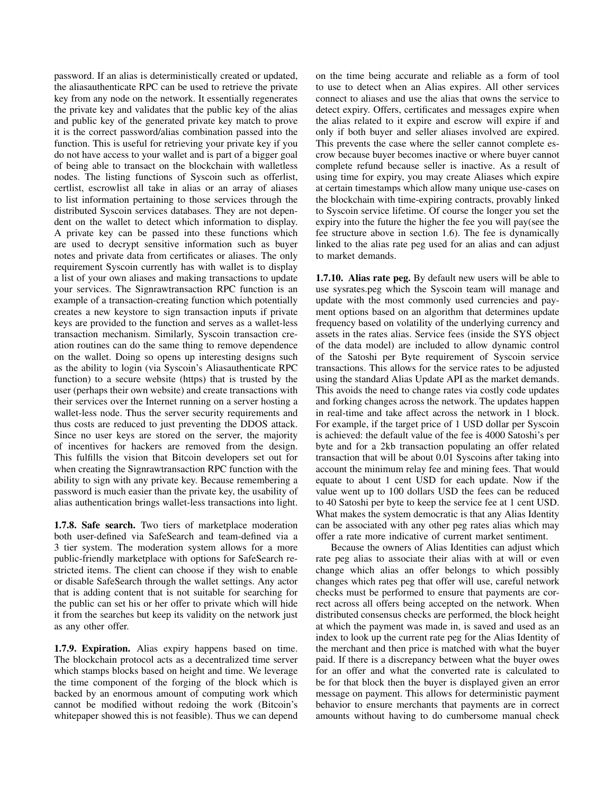password. If an alias is deterministically created or updated, the aliasauthenticate RPC can be used to retrieve the private key from any node on the network. It essentially regenerates the private key and validates that the public key of the alias and public key of the generated private key match to prove it is the correct password/alias combination passed into the function. This is useful for retrieving your private key if you do not have access to your wallet and is part of a bigger goal of being able to transact on the blockchain with walletless nodes. The listing functions of Syscoin such as offerlist, certlist, escrowlist all take in alias or an array of aliases to list information pertaining to those services through the distributed Syscoin services databases. They are not dependent on the wallet to detect which information to display. A private key can be passed into these functions which are used to decrypt sensitive information such as buyer notes and private data from certificates or aliases. The only requirement Syscoin currently has with wallet is to display a list of your own aliases and making transactions to update your services. The Signrawtransaction RPC function is an example of a transaction-creating function which potentially creates a new keystore to sign transaction inputs if private keys are provided to the function and serves as a wallet-less transaction mechanism. Similarly, Syscoin transaction creation routines can do the same thing to remove dependence on the wallet. Doing so opens up interesting designs such as the ability to login (via Syscoin's Aliasauthenticate RPC function) to a secure website (https) that is trusted by the user (perhaps their own website) and create transactions with their services over the Internet running on a server hosting a wallet-less node. Thus the server security requirements and thus costs are reduced to just preventing the DDOS attack. Since no user keys are stored on the server, the majority of incentives for hackers are removed from the design. This fulfills the vision that Bitcoin developers set out for when creating the Signrawtransaction RPC function with the ability to sign with any private key. Because remembering a password is much easier than the private key, the usability of alias authentication brings wallet-less transactions into light.

1.7.8. Safe search. Two tiers of marketplace moderation both user-defined via SafeSearch and team-defined via a 3 tier system. The moderation system allows for a more public-friendly marketplace with options for SafeSearch restricted items. The client can choose if they wish to enable or disable SafeSearch through the wallet settings. Any actor that is adding content that is not suitable for searching for the public can set his or her offer to private which will hide it from the searches but keep its validity on the network just as any other offer.

1.7.9. Expiration. Alias expiry happens based on time. The blockchain protocol acts as a decentralized time server which stamps blocks based on height and time. We leverage the time component of the forging of the block which is backed by an enormous amount of computing work which cannot be modified without redoing the work (Bitcoin's whitepaper showed this is not feasible). Thus we can depend on the time being accurate and reliable as a form of tool to use to detect when an Alias expires. All other services connect to aliases and use the alias that owns the service to detect expiry. Offers, certificates and messages expire when the alias related to it expire and escrow will expire if and only if both buyer and seller aliases involved are expired. This prevents the case where the seller cannot complete escrow because buyer becomes inactive or where buyer cannot complete refund because seller is inactive. As a result of using time for expiry, you may create Aliases which expire at certain timestamps which allow many unique use-cases on the blockchain with time-expiring contracts, provably linked to Syscoin service lifetime. Of course the longer you set the expiry into the future the higher the fee you will pay(see the fee structure above in section 1.6). The fee is dynamically linked to the alias rate peg used for an alias and can adjust to market demands.

1.7.10. Alias rate peg. By default new users will be able to use sysrates.peg which the Syscoin team will manage and update with the most commonly used currencies and payment options based on an algorithm that determines update frequency based on volatility of the underlying currency and assets in the rates alias. Service fees (inside the SYS object of the data model) are included to allow dynamic control of the Satoshi per Byte requirement of Syscoin service transactions. This allows for the service rates to be adjusted using the standard Alias Update API as the market demands. This avoids the need to change rates via costly code updates and forking changes across the network. The updates happen in real-time and take affect across the network in 1 block. For example, if the target price of 1 USD dollar per Syscoin is achieved: the default value of the fee is 4000 Satoshi's per byte and for a 2kb transaction populating an offer related transaction that will be about 0.01 Syscoins after taking into account the minimum relay fee and mining fees. That would equate to about 1 cent USD for each update. Now if the value went up to 100 dollars USD the fees can be reduced to 40 Satoshi per byte to keep the service fee at 1 cent USD. What makes the system democratic is that any Alias Identity can be associated with any other peg rates alias which may offer a rate more indicative of current market sentiment.

Because the owners of Alias Identities can adjust which rate peg alias to associate their alias with at will or even change which alias an offer belongs to which possibly changes which rates peg that offer will use, careful network checks must be performed to ensure that payments are correct across all offers being accepted on the network. When distributed consensus checks are performed, the block height at which the payment was made in, is saved and used as an index to look up the current rate peg for the Alias Identity of the merchant and then price is matched with what the buyer paid. If there is a discrepancy between what the buyer owes for an offer and what the converted rate is calculated to be for that block then the buyer is displayed given an error message on payment. This allows for deterministic payment behavior to ensure merchants that payments are in correct amounts without having to do cumbersome manual check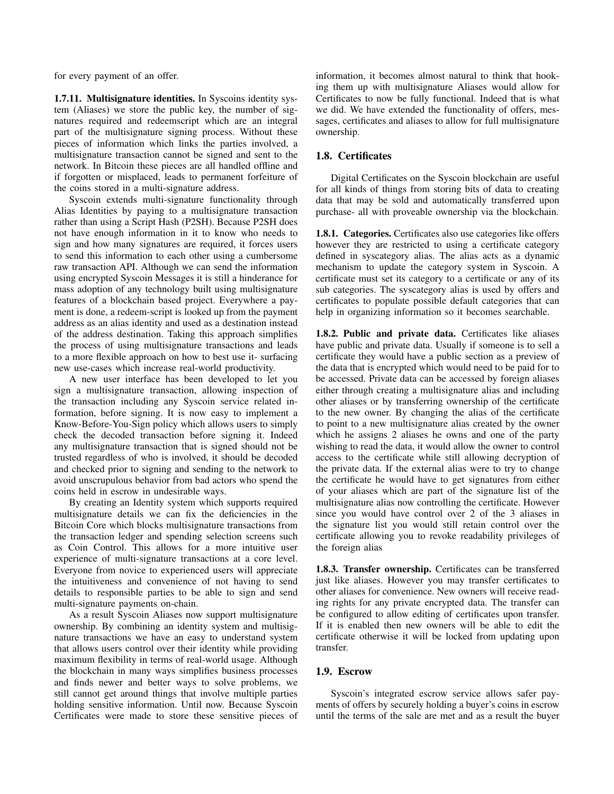for every payment of an offer.

1.7.11. Multisignature identities. In Syscoins identity system (Aliases) we store the public key, the number of signatures required and redeemscript which are an integral part of the multisignature signing process. Without these pieces of information which links the parties involved, a multisignature transaction cannot be signed and sent to the network. In Bitcoin these pieces are all handled offline and if forgotten or misplaced, leads to permanent forfeiture of the coins stored in a multi-signature address.

Syscoin extends multi-signature functionality through Alias Identities by paying to a multisignature transaction rather than using a Script Hash (P2SH). Because P2SH does not have enough information in it to know who needs to sign and how many signatures are required, it forces users to send this information to each other using a cumbersome raw transaction API. Although we can send the information using encrypted Syscoin Messages it is still a hinderance for mass adoption of any technology built using multisignature features of a blockchain based project. Everywhere a payment is done, a redeem-script is looked up from the payment address as an alias identity and used as a destination instead of the address destination. Taking this approach simplifies the process of using multisignature transactions and leads to a more flexible approach on how to best use it- surfacing new use-cases which increase real-world productivity.

A new user interface has been developed to let you sign a multisignature transaction, allowing inspection of the transaction including any Syscoin service related information, before signing. It is now easy to implement a Know-Before-You-Sign policy which allows users to simply check the decoded transaction before signing it. Indeed any multisignature transaction that is signed should not be trusted regardless of who is involved, it should be decoded and checked prior to signing and sending to the network to avoid unscrupulous behavior from bad actors who spend the coins held in escrow in undesirable ways.

By creating an Identity system which supports required multisignature details we can fix the deficiencies in the Bitcoin Core which blocks multisignature transactions from the transaction ledger and spending selection screens such as Coin Control. This allows for a more intuitive user experience of multi-signature transactions at a core level. Everyone from novice to experienced users will appreciate the intuitiveness and convenience of not having to send details to responsible parties to be able to sign and send multi-signature payments on-chain.

As a result Syscoin Aliases now support multisignature ownership. By combining an identity system and multisignature transactions we have an easy to understand system that allows users control over their identity while providing maximum flexibility in terms of real-world usage. Although the blockchain in many ways simplifies business processes and finds newer and better ways to solve problems, we still cannot get around things that involve multiple parties holding sensitive information. Until now. Because Syscoin Certificates were made to store these sensitive pieces of information, it becomes almost natural to think that hooking them up with multisignature Aliases would allow for Certificates to now be fully functional. Indeed that is what we did. We have extended the functionality of offers, messages, certificates and aliases to allow for full multisignature ownership.

### 1.8. Certificates

Digital Certificates on the Syscoin blockchain are useful for all kinds of things from storing bits of data to creating data that may be sold and automatically transferred upon purchase- all with proveable ownership via the blockchain.

1.8.1. Categories. Certificates also use categories like offers however they are restricted to using a certificate category defined in syscategory alias. The alias acts as a dynamic mechanism to update the category system in Syscoin. A certificate must set its category to a certificate or any of its sub categories. The syscategory alias is used by offers and certificates to populate possible default categories that can help in organizing information so it becomes searchable.

1.8.2. Public and private data. Certificates like aliases have public and private data. Usually if someone is to sell a certificate they would have a public section as a preview of the data that is encrypted which would need to be paid for to be accessed. Private data can be accessed by foreign aliases either through creating a multisignature alias and including other aliases or by transferring ownership of the certificate to the new owner. By changing the alias of the certificate to point to a new multisignature alias created by the owner which he assigns 2 aliases he owns and one of the party wishing to read the data, it would allow the owner to control access to the certificate while still allowing decryption of the private data. If the external alias were to try to change the certificate he would have to get signatures from either of your aliases which are part of the signature list of the multisignature alias now controlling the certificate. However since you would have control over 2 of the 3 aliases in the signature list you would still retain control over the certificate allowing you to revoke readability privileges of the foreign alias

1.8.3. Transfer ownership. Certificates can be transferred just like aliases. However you may transfer certificates to other aliases for convenience. New owners will receive reading rights for any private encrypted data. The transfer can be configured to allow editing of certificates upon transfer. If it is enabled then new owners will be able to edit the certificate otherwise it will be locked from updating upon transfer.

### 1.9. Escrow

Syscoin's integrated escrow service allows safer payments of offers by securely holding a buyer's coins in escrow until the terms of the sale are met and as a result the buyer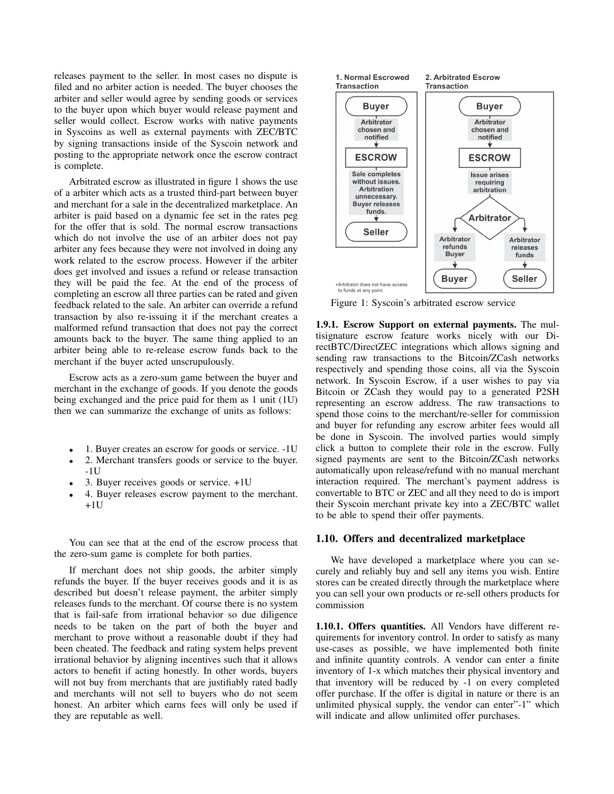releases payment to the seller. In most cases no dispute is filed and no arbiter action is needed. The buyer chooses the arbiter and seller would agree by sending goods or services to the buyer upon which buyer would release payment and seller would collect. Escrow works with native payments in Syscoins as well as external payments with ZEC/BTC by signing transactions inside of the Syscoin network and posting to the appropriate network once the escrow contract is complete.

Arbitrated escrow as illustrated in figure 1 shows the use of a arbiter which acts as a trusted third-part between buyer and merchant for a sale in the decentralized marketplace. An arbiter is paid based on a dynamic fee set in the rates peg for the offer that is sold. The normal escrow transactions which do not involve the use of an arbiter does not pay arbiter any fees because they were not involved in doing any work related to the escrow process. However if the arbiter does get involved and issues a refund or release transaction they will be paid the fee. At the end of the process of completing an escrow all three parties can be rated and given feedback related to the sale. An arbiter can override a refund transaction by also re-issuing it if the merchant creates a malformed refund transaction that does not pay the correct amounts back to the buyer. The same thing applied to an arbiter being able to re-release escrow funds back to the merchant if the buyer acted unscrupulously.

Escrow acts as a zero-sum game between the buyer and merchant in the exchange of goods. If you denote the goods being exchanged and the price paid for them as 1 unit (1U) then we can summarize the exchange of units as follows:

- 1. Buyer creates an escrow for goods or service. -1U
- 2. Merchant transfers goods or service to the buyer. -1U
- 3. Buyer receives goods or service. +1U
- 4. Buyer releases escrow payment to the merchant.  $+1U$

You can see that at the end of the escrow process that the zero-sum game is complete for both parties.

If merchant does not ship goods, the arbiter simply refunds the buyer. If the buyer receives goods and it is as described but doesn't release payment, the arbiter simply releases funds to the merchant. Of course there is no system that is fail-safe from irrational behavior so due diligence needs to be taken on the part of both the buyer and merchant to prove without a reasonable doubt if they had been cheated. The feedback and rating system helps prevent irrational behavior by aligning incentives such that it allows actors to benefit if acting honestly. In other words, buyers will not buy from merchants that are justifiably rated badly and merchants will not sell to buyers who do not seem honest. An arbiter which earns fees will only be used if they are reputable as well.



Figure 1: Syscoin's arbitrated escrow service

1.9.1. Escrow Support on external payments. The multisignature escrow feature works nicely with our DirectBTC/DirectZEC integrations which allows signing and sending raw transactions to the Bitcoin/ZCash networks respectively and spending those coins, all via the Syscoin network. In Syscoin Escrow, if a user wishes to pay via Bitcoin or ZCash they would pay to a generated P2SH representing an escrow address. The raw transactions to spend those coins to the merchant/re-seller for commission and buyer for refunding any escrow arbiter fees would all be done in Syscoin. The involved parties would simply click a button to complete their role in the escrow. Fully signed payments are sent to the Bitcoin/ZCash networks automatically upon release/refund with no manual merchant interaction required. The merchant's payment address is convertable to BTC or ZEC and all they need to do is import their Syscoin merchant private key into a ZEC/BTC wallet to be able to spend their offer payments.

#### 1.10. Offers and decentralized marketplace

We have developed a marketplace where you can securely and reliably buy and sell any items you wish. Entire stores can be created directly through the marketplace where you can sell your own products or re-sell others products for commission

1.10.1. Offers quantities. All Vendors have different requirements for inventory control. In order to satisfy as many use-cases as possible, we have implemented both finite and infinite quantity controls. A vendor can enter a finite inventory of 1-x which matches their physical inventory and that inventory will be reduced by -1 on every completed offer purchase. If the offer is digital in nature or there is an unlimited physical supply, the vendor can enter"-1" which will indicate and allow unlimited offer purchases.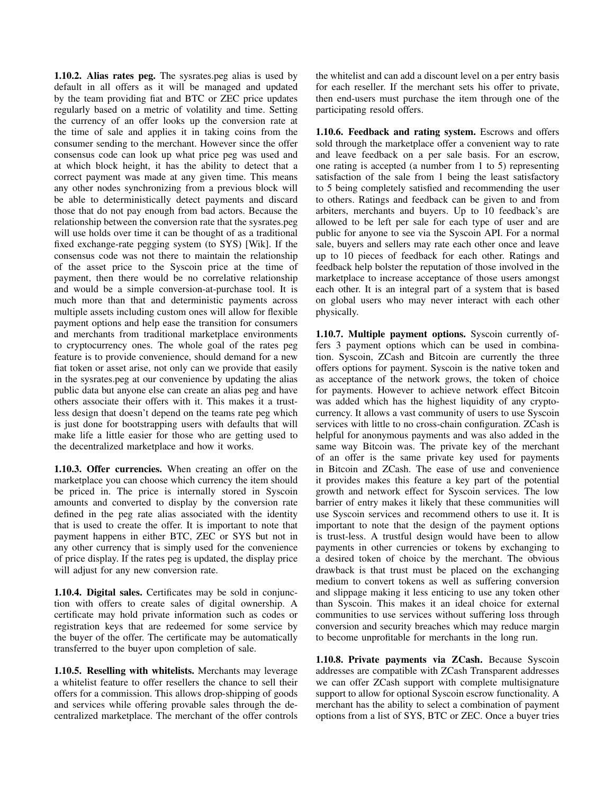1.10.2. Alias rates peg. The sysrates.peg alias is used by default in all offers as it will be managed and updated by the team providing fiat and BTC or ZEC price updates regularly based on a metric of volatility and time. Setting the currency of an offer looks up the conversion rate at the time of sale and applies it in taking coins from the consumer sending to the merchant. However since the offer consensus code can look up what price peg was used and at which block height, it has the ability to detect that a correct payment was made at any given time. This means any other nodes synchronizing from a previous block will be able to deterministically detect payments and discard those that do not pay enough from bad actors. Because the relationship between the conversion rate that the sysrates.peg will use holds over time it can be thought of as a traditional fixed exchange-rate pegging system (to SYS) [Wik]. If the consensus code was not there to maintain the relationship of the asset price to the Syscoin price at the time of payment, then there would be no correlative relationship and would be a simple conversion-at-purchase tool. It is much more than that and deterministic payments across multiple assets including custom ones will allow for flexible payment options and help ease the transition for consumers and merchants from traditional marketplace environments to cryptocurrency ones. The whole goal of the rates peg feature is to provide convenience, should demand for a new fiat token or asset arise, not only can we provide that easily in the sysrates.peg at our convenience by updating the alias public data but anyone else can create an alias peg and have others associate their offers with it. This makes it a trustless design that doesn't depend on the teams rate peg which is just done for bootstrapping users with defaults that will make life a little easier for those who are getting used to the decentralized marketplace and how it works.

1.10.3. Offer currencies. When creating an offer on the marketplace you can choose which currency the item should be priced in. The price is internally stored in Syscoin amounts and converted to display by the conversion rate defined in the peg rate alias associated with the identity that is used to create the offer. It is important to note that payment happens in either BTC, ZEC or SYS but not in any other currency that is simply used for the convenience of price display. If the rates peg is updated, the display price will adjust for any new conversion rate.

1.10.4. Digital sales. Certificates may be sold in conjunction with offers to create sales of digital ownership. A certificate may hold private information such as codes or registration keys that are redeemed for some service by the buyer of the offer. The certificate may be automatically transferred to the buyer upon completion of sale.

1.10.5. Reselling with whitelists. Merchants may leverage a whitelist feature to offer resellers the chance to sell their offers for a commission. This allows drop-shipping of goods and services while offering provable sales through the decentralized marketplace. The merchant of the offer controls the whitelist and can add a discount level on a per entry basis for each reseller. If the merchant sets his offer to private, then end-users must purchase the item through one of the participating resold offers.

1.10.6. Feedback and rating system. Escrows and offers sold through the marketplace offer a convenient way to rate and leave feedback on a per sale basis. For an escrow, one rating is accepted (a number from 1 to 5) representing satisfaction of the sale from 1 being the least satisfactory to 5 being completely satisfied and recommending the user to others. Ratings and feedback can be given to and from arbiters, merchants and buyers. Up to 10 feedback's are allowed to be left per sale for each type of user and are public for anyone to see via the Syscoin API. For a normal sale, buyers and sellers may rate each other once and leave up to 10 pieces of feedback for each other. Ratings and feedback help bolster the reputation of those involved in the marketplace to increase acceptance of those users amongst each other. It is an integral part of a system that is based on global users who may never interact with each other physically.

1.10.7. Multiple payment options. Syscoin currently offers 3 payment options which can be used in combination. Syscoin, ZCash and Bitcoin are currently the three offers options for payment. Syscoin is the native token and as acceptance of the network grows, the token of choice for payments. However to achieve network effect Bitcoin was added which has the highest liquidity of any cryptocurrency. It allows a vast community of users to use Syscoin services with little to no cross-chain configuration. ZCash is helpful for anonymous payments and was also added in the same way Bitcoin was. The private key of the merchant of an offer is the same private key used for payments in Bitcoin and ZCash. The ease of use and convenience it provides makes this feature a key part of the potential growth and network effect for Syscoin services. The low barrier of entry makes it likely that these communities will use Syscoin services and recommend others to use it. It is important to note that the design of the payment options is trust-less. A trustful design would have been to allow payments in other currencies or tokens by exchanging to a desired token of choice by the merchant. The obvious drawback is that trust must be placed on the exchanging medium to convert tokens as well as suffering conversion and slippage making it less enticing to use any token other than Syscoin. This makes it an ideal choice for external communities to use services without suffering loss through conversion and security breaches which may reduce margin to become unprofitable for merchants in the long run.

1.10.8. Private payments via ZCash. Because Syscoin addresses are compatible with ZCash Transparent addresses we can offer ZCash support with complete multisignature support to allow for optional Syscoin escrow functionality. A merchant has the ability to select a combination of payment options from a list of SYS, BTC or ZEC. Once a buyer tries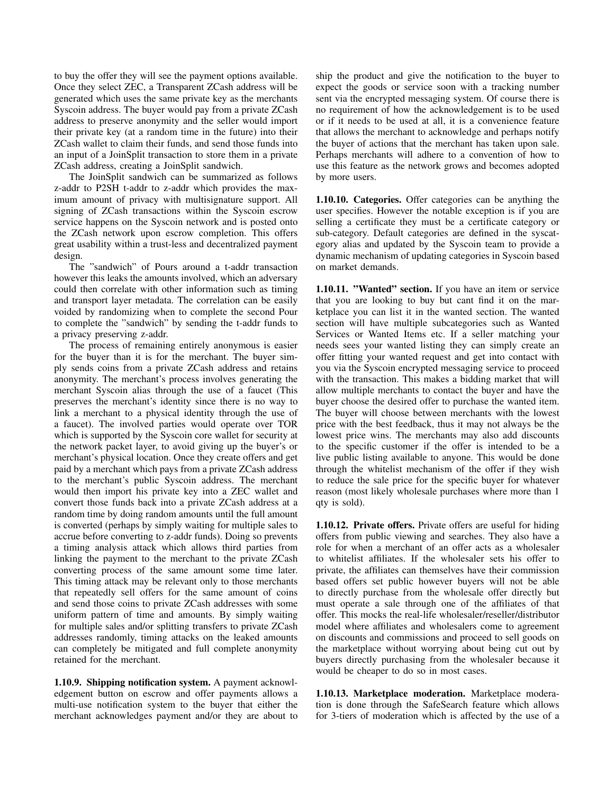to buy the offer they will see the payment options available. Once they select ZEC, a Transparent ZCash address will be generated which uses the same private key as the merchants Syscoin address. The buyer would pay from a private ZCash address to preserve anonymity and the seller would import their private key (at a random time in the future) into their ZCash wallet to claim their funds, and send those funds into an input of a JoinSplit transaction to store them in a private ZCash address, creating a JoinSplit sandwich.

The JoinSplit sandwich can be summarized as follows z-addr to P2SH t-addr to z-addr which provides the maximum amount of privacy with multisignature support. All signing of ZCash transactions within the Syscoin escrow service happens on the Syscoin network and is posted onto the ZCash network upon escrow completion. This offers great usability within a trust-less and decentralized payment design.

The "sandwich" of Pours around a t-addr transaction however this leaks the amounts involved, which an adversary could then correlate with other information such as timing and transport layer metadata. The correlation can be easily voided by randomizing when to complete the second Pour to complete the "sandwich" by sending the t-addr funds to a privacy preserving z-addr.

The process of remaining entirely anonymous is easier for the buyer than it is for the merchant. The buyer simply sends coins from a private ZCash address and retains anonymity. The merchant's process involves generating the merchant Syscoin alias through the use of a faucet (This preserves the merchant's identity since there is no way to link a merchant to a physical identity through the use of a faucet). The involved parties would operate over TOR which is supported by the Syscoin core wallet for security at the network packet layer, to avoid giving up the buyer's or merchant's physical location. Once they create offers and get paid by a merchant which pays from a private ZCash address to the merchant's public Syscoin address. The merchant would then import his private key into a ZEC wallet and convert those funds back into a private ZCash address at a random time by doing random amounts until the full amount is converted (perhaps by simply waiting for multiple sales to accrue before converting to z-addr funds). Doing so prevents a timing analysis attack which allows third parties from linking the payment to the merchant to the private ZCash converting process of the same amount some time later. This timing attack may be relevant only to those merchants that repeatedly sell offers for the same amount of coins and send those coins to private ZCash addresses with some uniform pattern of time and amounts. By simply waiting for multiple sales and/or splitting transfers to private ZCash addresses randomly, timing attacks on the leaked amounts can completely be mitigated and full complete anonymity retained for the merchant.

1.10.9. Shipping notification system. A payment acknowledgement button on escrow and offer payments allows a multi-use notification system to the buyer that either the merchant acknowledges payment and/or they are about to ship the product and give the notification to the buyer to expect the goods or service soon with a tracking number sent via the encrypted messaging system. Of course there is no requirement of how the acknowledgement is to be used or if it needs to be used at all, it is a convenience feature that allows the merchant to acknowledge and perhaps notify the buyer of actions that the merchant has taken upon sale. Perhaps merchants will adhere to a convention of how to use this feature as the network grows and becomes adopted by more users.

1.10.10. Categories. Offer categories can be anything the user specifies. However the notable exception is if you are selling a certificate they must be a certificate category or sub-category. Default categories are defined in the syscategory alias and updated by the Syscoin team to provide a dynamic mechanism of updating categories in Syscoin based on market demands.

1.10.11. "Wanted" section. If you have an item or service that you are looking to buy but cant find it on the marketplace you can list it in the wanted section. The wanted section will have multiple subcategories such as Wanted Services or Wanted Items etc. If a seller matching your needs sees your wanted listing they can simply create an offer fitting your wanted request and get into contact with you via the Syscoin encrypted messaging service to proceed with the transaction. This makes a bidding market that will allow multiple merchants to contact the buyer and have the buyer choose the desired offer to purchase the wanted item. The buyer will choose between merchants with the lowest price with the best feedback, thus it may not always be the lowest price wins. The merchants may also add discounts to the specific customer if the offer is intended to be a live public listing available to anyone. This would be done through the whitelist mechanism of the offer if they wish to reduce the sale price for the specific buyer for whatever reason (most likely wholesale purchases where more than 1 qty is sold).

1.10.12. Private offers. Private offers are useful for hiding offers from public viewing and searches. They also have a role for when a merchant of an offer acts as a wholesaler to whitelist affiliates. If the wholesaler sets his offer to private, the affiliates can themselves have their commission based offers set public however buyers will not be able to directly purchase from the wholesale offer directly but must operate a sale through one of the affiliates of that offer. This mocks the real-life wholesaler/reseller/distributor model where affiliates and wholesalers come to agreement on discounts and commissions and proceed to sell goods on the marketplace without worrying about being cut out by buyers directly purchasing from the wholesaler because it would be cheaper to do so in most cases.

1.10.13. Marketplace moderation. Marketplace moderation is done through the SafeSearch feature which allows for 3-tiers of moderation which is affected by the use of a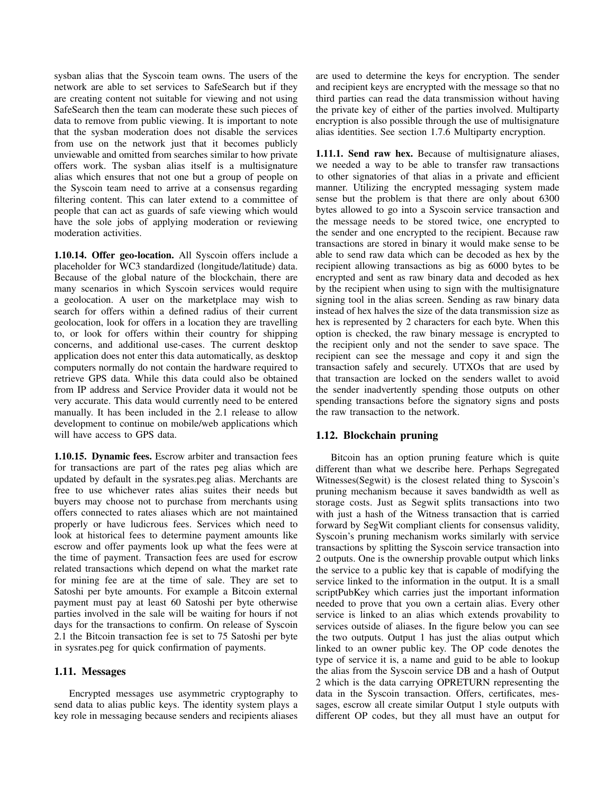sysban alias that the Syscoin team owns. The users of the network are able to set services to SafeSearch but if they are creating content not suitable for viewing and not using SafeSearch then the team can moderate these such pieces of data to remove from public viewing. It is important to note that the sysban moderation does not disable the services from use on the network just that it becomes publicly unviewable and omitted from searches similar to how private offers work. The sysban alias itself is a multisignature alias which ensures that not one but a group of people on the Syscoin team need to arrive at a consensus regarding filtering content. This can later extend to a committee of people that can act as guards of safe viewing which would have the sole jobs of applying moderation or reviewing moderation activities.

1.10.14. Offer geo-location. All Syscoin offers include a placeholder for WC3 standardized (longitude/latitude) data. Because of the global nature of the blockchain, there are many scenarios in which Syscoin services would require a geolocation. A user on the marketplace may wish to search for offers within a defined radius of their current geolocation, look for offers in a location they are travelling to, or look for offers within their country for shipping concerns, and additional use-cases. The current desktop application does not enter this data automatically, as desktop computers normally do not contain the hardware required to retrieve GPS data. While this data could also be obtained from IP address and Service Provider data it would not be very accurate. This data would currently need to be entered manually. It has been included in the 2.1 release to allow development to continue on mobile/web applications which will have access to GPS data.

1.10.15. Dynamic fees. Escrow arbiter and transaction fees for transactions are part of the rates peg alias which are updated by default in the sysrates.peg alias. Merchants are free to use whichever rates alias suites their needs but buyers may choose not to purchase from merchants using offers connected to rates aliases which are not maintained properly or have ludicrous fees. Services which need to look at historical fees to determine payment amounts like escrow and offer payments look up what the fees were at the time of payment. Transaction fees are used for escrow related transactions which depend on what the market rate for mining fee are at the time of sale. They are set to Satoshi per byte amounts. For example a Bitcoin external payment must pay at least 60 Satoshi per byte otherwise parties involved in the sale will be waiting for hours if not days for the transactions to confirm. On release of Syscoin 2.1 the Bitcoin transaction fee is set to 75 Satoshi per byte in sysrates.peg for quick confirmation of payments.

#### 1.11. Messages

Encrypted messages use asymmetric cryptography to send data to alias public keys. The identity system plays a key role in messaging because senders and recipients aliases are used to determine the keys for encryption. The sender and recipient keys are encrypted with the message so that no third parties can read the data transmission without having the private key of either of the parties involved. Multiparty encryption is also possible through the use of multisignature alias identities. See section 1.7.6 Multiparty encryption.

1.11.1. Send raw hex. Because of multisignature aliases, we needed a way to be able to transfer raw transactions to other signatories of that alias in a private and efficient manner. Utilizing the encrypted messaging system made sense but the problem is that there are only about 6300 bytes allowed to go into a Syscoin service transaction and the message needs to be stored twice, one encrypted to the sender and one encrypted to the recipient. Because raw transactions are stored in binary it would make sense to be able to send raw data which can be decoded as hex by the recipient allowing transactions as big as 6000 bytes to be encrypted and sent as raw binary data and decoded as hex by the recipient when using to sign with the multisignature signing tool in the alias screen. Sending as raw binary data instead of hex halves the size of the data transmission size as hex is represented by 2 characters for each byte. When this option is checked, the raw binary message is encrypted to the recipient only and not the sender to save space. The recipient can see the message and copy it and sign the transaction safely and securely. UTXOs that are used by that transaction are locked on the senders wallet to avoid the sender inadvertently spending those outputs on other spending transactions before the signatory signs and posts the raw transaction to the network.

# 1.12. Blockchain pruning

Bitcoin has an option pruning feature which is quite different than what we describe here. Perhaps Segregated Witnesses(Segwit) is the closest related thing to Syscoin's pruning mechanism because it saves bandwidth as well as storage costs. Just as Segwit splits transactions into two with just a hash of the Witness transaction that is carried forward by SegWit compliant clients for consensus validity, Syscoin's pruning mechanism works similarly with service transactions by splitting the Syscoin service transaction into 2 outputs. One is the ownership provable output which links the service to a public key that is capable of modifying the service linked to the information in the output. It is a small scriptPubKey which carries just the important information needed to prove that you own a certain alias. Every other service is linked to an alias which extends provability to services outside of aliases. In the figure below you can see the two outputs. Output 1 has just the alias output which linked to an owner public key. The OP code denotes the type of service it is, a name and guid to be able to lookup the alias from the Syscoin service DB and a hash of Output 2 which is the data carrying OPRETURN representing the data in the Syscoin transaction. Offers, certificates, messages, escrow all create similar Output 1 style outputs with different OP codes, but they all must have an output for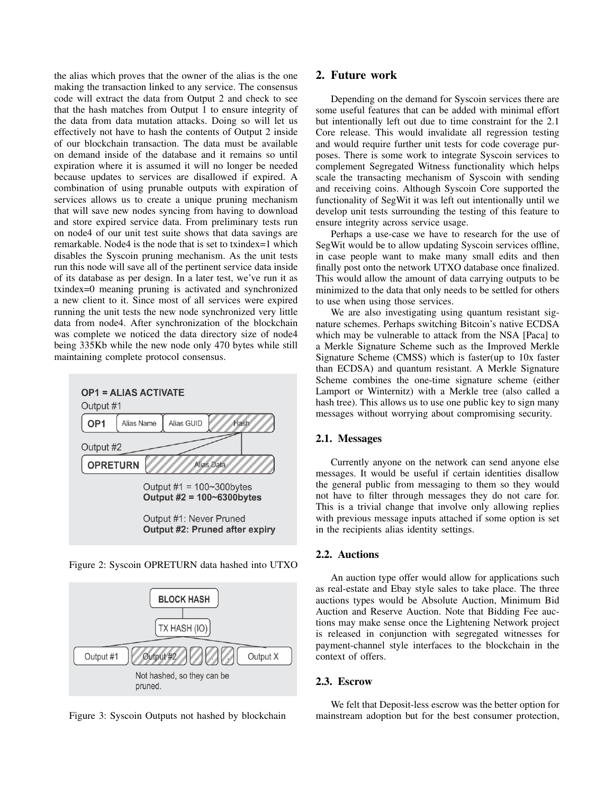the alias which proves that the owner of the alias is the one making the transaction linked to any service. The consensus code will extract the data from Output 2 and check to see that the hash matches from Output 1 to ensure integrity of the data from data mutation attacks. Doing so will let us effectively not have to hash the contents of Output 2 inside of our blockchain transaction. The data must be available on demand inside of the database and it remains so until expiration where it is assumed it will no longer be needed because updates to services are disallowed if expired. A combination of using prunable outputs with expiration of services allows us to create a unique pruning mechanism that will save new nodes syncing from having to download and store expired service data. From preliminary tests run on node4 of our unit test suite shows that data savings are remarkable. Node4 is the node that is set to txindex=1 which disables the Syscoin pruning mechanism. As the unit tests run this node will save all of the pertinent service data inside of its database as per design. In a later test, we've run it as txindex=0 meaning pruning is activated and synchronized a new client to it. Since most of all services were expired running the unit tests the new node synchronized very little data from node4. After synchronization of the blockchain was complete we noticed the data directory size of node4 being 335Kb while the new node only 470 bytes while still maintaining complete protocol consensus.



Figure 2: Syscoin OPRETURN data hashed into UTXO



Figure 3: Syscoin Outputs not hashed by blockchain

# 2. Future work

Depending on the demand for Syscoin services there are some useful features that can be added with minimal effort but intentionally left out due to time constraint for the 2.1 Core release. This would invalidate all regression testing and would require further unit tests for code coverage purposes. There is some work to integrate Syscoin services to complement Segregated Witness functionality which helps scale the transacting mechanism of Syscoin with sending and receiving coins. Although Syscoin Core supported the functionality of SegWit it was left out intentionally until we develop unit tests surrounding the testing of this feature to ensure integrity across service usage.

Perhaps a use-case we have to research for the use of SegWit would be to allow updating Syscoin services offline, in case people want to make many small edits and then finally post onto the network UTXO database once finalized. This would allow the amount of data carrying outputs to be minimized to the data that only needs to be settled for others to use when using those services.

We are also investigating using quantum resistant signature schemes. Perhaps switching Bitcoin's native ECDSA which may be vulnerable to attack from the NSA [Paca] to a Merkle Signature Scheme such as the Improved Merkle Signature Scheme (CMSS) which is faster(up to 10x faster than ECDSA) and quantum resistant. A Merkle Signature Scheme combines the one-time signature scheme (either Lamport or Winternitz) with a Merkle tree (also called a hash tree). This allows us to use one public key to sign many messages without worrying about compromising security.

#### 2.1. Messages

Currently anyone on the network can send anyone else messages. It would be useful if certain identities disallow the general public from messaging to them so they would not have to filter through messages they do not care for. This is a trivial change that involve only allowing replies with previous message inputs attached if some option is set in the recipients alias identity settings.

# 2.2. Auctions

An auction type offer would allow for applications such as real-estate and Ebay style sales to take place. The three auctions types would be Absolute Auction, Minimum Bid Auction and Reserve Auction. Note that Bidding Fee auctions may make sense once the Lightening Network project is released in conjunction with segregated witnesses for payment-channel style interfaces to the blockchain in the context of offers.

#### 2.3. Escrow

We felt that Deposit-less escrow was the better option for mainstream adoption but for the best consumer protection,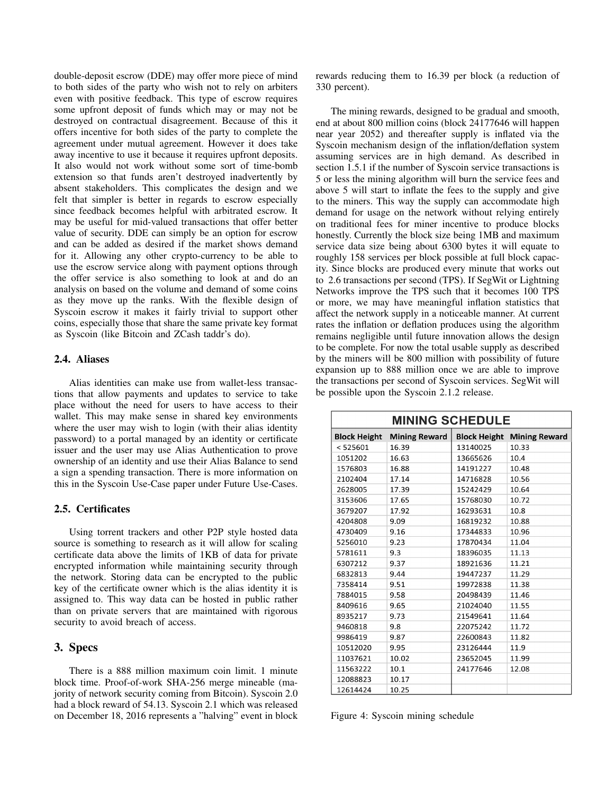double-deposit escrow (DDE) may offer more piece of mind to both sides of the party who wish not to rely on arbiters even with positive feedback. This type of escrow requires some upfront deposit of funds which may or may not be destroyed on contractual disagreement. Because of this it offers incentive for both sides of the party to complete the agreement under mutual agreement. However it does take away incentive to use it because it requires upfront deposits. It also would not work without some sort of time-bomb extension so that funds aren't destroyed inadvertently by absent stakeholders. This complicates the design and we felt that simpler is better in regards to escrow especially since feedback becomes helpful with arbitrated escrow. It may be useful for mid-valued transactions that offer better value of security. DDE can simply be an option for escrow and can be added as desired if the market shows demand for it. Allowing any other crypto-currency to be able to use the escrow service along with payment options through the offer service is also something to look at and do an analysis on based on the volume and demand of some coins as they move up the ranks. With the flexible design of Syscoin escrow it makes it fairly trivial to support other coins, especially those that share the same private key format as Syscoin (like Bitcoin and ZCash taddr's do).

#### 2.4. Aliases

Alias identities can make use from wallet-less transactions that allow payments and updates to service to take place without the need for users to have access to their wallet. This may make sense in shared key environments where the user may wish to login (with their alias identity password) to a portal managed by an identity or certificate issuer and the user may use Alias Authentication to prove ownership of an identity and use their Alias Balance to send a sign a spending transaction. There is more information on this in the Syscoin Use-Case paper under Future Use-Cases.

#### 2.5. Certificates

Using torrent trackers and other P2P style hosted data source is something to research as it will allow for scaling certificate data above the limits of 1KB of data for private encrypted information while maintaining security through the network. Storing data can be encrypted to the public key of the certificate owner which is the alias identity it is assigned to. This way data can be hosted in public rather than on private servers that are maintained with rigorous security to avoid breach of access.

### 3. Specs

There is a 888 million maximum coin limit. 1 minute block time. Proof-of-work SHA-256 merge mineable (majority of network security coming from Bitcoin). Syscoin 2.0 had a block reward of 54.13. Syscoin 2.1 which was released on December 18, 2016 represents a "halving" event in block rewards reducing them to 16.39 per block (a reduction of 330 percent).

The mining rewards, designed to be gradual and smooth, end at about 800 million coins (block 24177646 will happen near year 2052) and thereafter supply is inflated via the Syscoin mechanism design of the inflation/deflation system assuming services are in high demand. As described in section 1.5.1 if the number of Syscoin service transactions is 5 or less the mining algorithm will burn the service fees and above 5 will start to inflate the fees to the supply and give to the miners. This way the supply can accommodate high demand for usage on the network without relying entirely on traditional fees for miner incentive to produce blocks honestly. Currently the block size being 1MB and maximum service data size being about 6300 bytes it will equate to roughly 158 services per block possible at full block capacity. Since blocks are produced every minute that works out to 2.6 transactions per second (TPS). If SegWit or Lightning Networks improve the TPS such that it becomes 100 TPS or more, we may have meaningful inflation statistics that affect the network supply in a noticeable manner. At current rates the inflation or deflation produces using the algorithm remains negligible until future innovation allows the design to be complete. For now the total usable supply as described by the miners will be 800 million with possibility of future expansion up to 888 million once we are able to improve the transactions per second of Syscoin services. SegWit will be possible upon the Syscoin 2.1.2 release.

| <b>MINING SCHEDULE</b> |                      |                     |                      |
|------------------------|----------------------|---------------------|----------------------|
| <b>Block Height</b>    | <b>Mining Reward</b> | <b>Block Height</b> | <b>Mining Reward</b> |
| < 525601               | 16.39                | 13140025            | 10.33                |
| 1051202                | 16.63                | 13665626            | 10.4                 |
| 1576803                | 16.88                | 14191227            | 10.48                |
| 2102404                | 17.14                | 14716828            | 10.56                |
| 2628005                | 17.39                | 15242429            | 10.64                |
| 3153606                | 17.65                | 15768030            | 10.72                |
| 3679207                | 17.92                | 16293631            | 10.8                 |
| 4204808                | 9.09                 | 16819232            | 10.88                |
| 4730409                | 9.16                 | 17344833            | 10.96                |
| 5256010                | 9.23                 | 17870434            | 11.04                |
| 5781611                | 9.3                  | 18396035            | 11.13                |
| 6307212                | 9.37                 | 18921636            | 11.21                |
| 6832813                | 9.44                 | 19447237            | 11.29                |
| 7358414                | 9.51                 | 19972838            | 11.38                |
| 7884015                | 9.58                 | 20498439            | 11.46                |
| 8409616                | 9.65                 | 21024040            | 11.55                |
| 8935217                | 9.73                 | 21549641            | 11.64                |
| 9460818                | 9.8                  | 22075242            | 11.72                |
| 9986419                | 9.87                 | 22600843            | 11.82                |
| 10512020               | 9.95                 | 23126444            | 11.9                 |
| 11037621               | 10.02                | 23652045            | 11.99                |
| 11563222               | 10.1                 | 24177646            | 12.08                |
| 12088823               | 10.17                |                     |                      |
| 12614424               | 10.25                |                     |                      |

Figure 4: Syscoin mining schedule